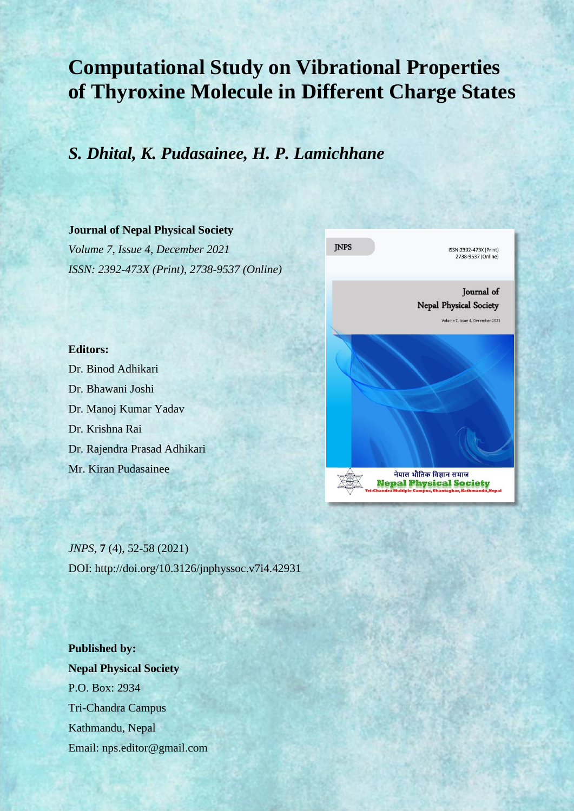# **Computational Study on Vibrational Properties of Thyroxine Molecule in Different Charge States**

## *S. Dhital, K. Pudasainee, H. P. Lamichhane*

#### **Journal of Nepal Physical Society**

*Volume 7, Issue 4, December 2021 ISSN: 2392-473X (Print), 2738-9537 (Online)*



#### **Editors:**

Dr. Binod Adhikari Dr. Bhawani Joshi Dr. Manoj Kumar Yadav Dr. Krishna Rai Dr. Rajendra Prasad Adhikari Mr. Kiran Pudasainee

*JNPS,* **7** (4), 52-58 (2021) DOI: http://doi.org/10.3126/jnphyssoc.v7i4.42931

**Published by: Nepal Physical Society** P.O. Box: 2934 Tri-Chandra Campus Kathmandu, Nepal Email: nps.editor@gmail.com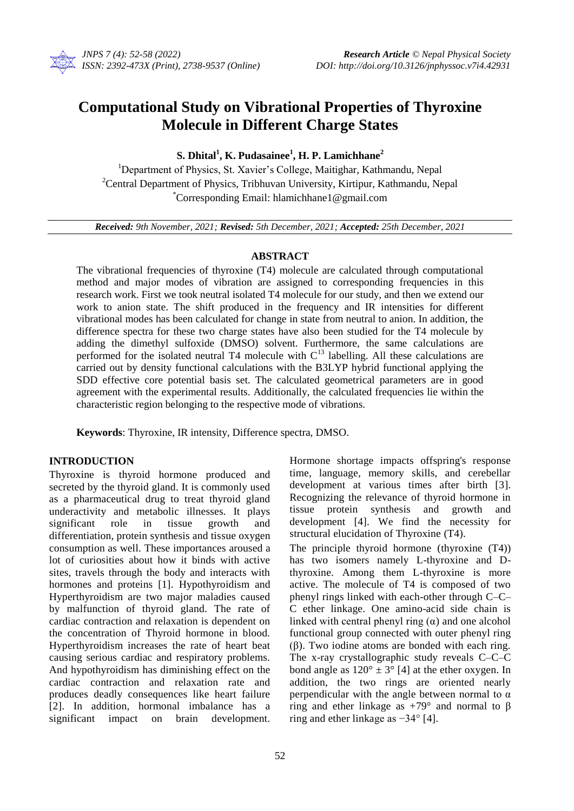

### **Computational Study on Vibrational Properties of Thyroxine Molecule in Different Charge States**

#### **S. Dhital<sup>1</sup> , K. Pudasainee<sup>1</sup> , H. P. Lamichhane<sup>2</sup>**

<sup>1</sup>Department of Physics, St. Xavier's College, Maitighar, Kathmandu, Nepal <sup>2</sup>Central Department of Physics, Tribhuvan University, Kirtipur, Kathmandu, Nepal \*Corresponding Email: hlamichhane1@gmail.com

*Received: 9th November, 2021; Revised: 5th December, 2021; Accepted: 25th December, 2021*

#### **ABSTRACT**

The vibrational frequencies of thyroxine (T4) molecule are calculated through computational method and major modes of vibration are assigned to corresponding frequencies in this research work. First we took neutral isolated T4 molecule for our study, and then we extend our work to anion state. The shift produced in the frequency and IR intensities for different vibrational modes has been calculated for change in state from neutral to anion. In addition, the difference spectra for these two charge states have also been studied for the T4 molecule by adding the dimethyl sulfoxide (DMSO) solvent. Furthermore, the same calculations are performed for the isolated neutral T4 molecule with  $C<sup>13</sup>$  labelling. All these calculations are carried out by density functional calculations with the B3LYP hybrid functional applying the SDD effective core potential basis set. The calculated geometrical parameters are in good agreement with the experimental results. Additionally, the calculated frequencies lie within the characteristic region belonging to the respective mode of vibrations.

**Keywords**: Thyroxine, IR intensity, Difference spectra, DMSO.

#### **INTRODUCTION**

Thyroxine is thyroid hormone produced and secreted by the thyroid gland. It is commonly used as a pharmaceutical drug to treat thyroid gland underactivity and metabolic illnesses. It plays significant role in tissue growth and differentiation, protein synthesis and tissue oxygen consumption as well. These importances aroused a lot of curiosities about how it binds with active sites, travels through the body and interacts with hormones and proteins [1]. Hypothyroidism and Hyperthyroidism are two major maladies caused by malfunction of thyroid gland. The rate of cardiac contraction and relaxation is dependent on the concentration of Thyroid hormone in blood. Hyperthyroidism increases the rate of heart beat causing serious cardiac and respiratory problems. And hypothyroidism has diminishing effect on the cardiac contraction and relaxation rate and produces deadly consequences like heart failure [2]. In addition, hormonal imbalance has a significant impact on brain development.

Hormone shortage impacts offspring's response time, language, memory skills, and cerebellar development at various times after birth [3]. Recognizing the relevance of thyroid hormone in tissue protein synthesis and growth and development [4]. We find the necessity for structural elucidation of Thyroxine (T4).

The principle thyroid hormone (thyroxine (T4)) has two isomers namely L-thyroxine and Dthyroxine. Among them L-thyroxine is more active. The molecule of T4 is composed of two phenyl rings linked with each-other through C*–*C*–* C ether linkage. One amino-acid side chain is linked with central phenyl ring  $(\alpha)$  and one alcohol functional group connected with outer phenyl ring (β). Two iodine atoms are bonded with each ring. The x-ray crystallographic study reveals C*–*C*–*C bond angle as  $120^{\circ} \pm 3^{\circ}$  [4] at the ether oxygen. In addition, the two rings are oriented nearly perpendicular with the angle between normal to  $\alpha$ ring and ether linkage as  $+79°$  and normal to β ring and ether linkage as −34° [4].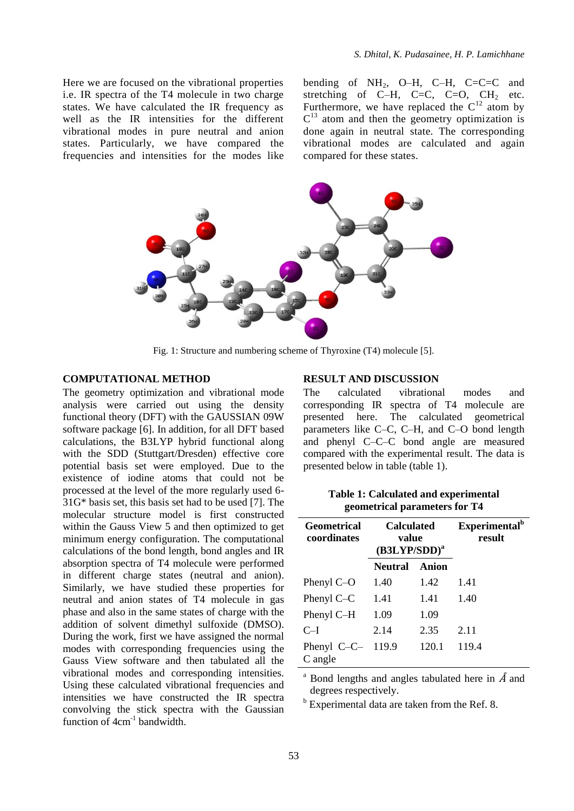Here we are focused on the vibrational properties i.e. IR spectra of the T4 molecule in two charge states. We have calculated the IR frequency as well as the IR intensities for the different vibrational modes in pure neutral and anion states. Particularly, we have compared the frequencies and intensities for the modes like bending of NH<sub>2</sub>, O–H, C–H, C=C=C and stretching of C–H, C=C, C=O,  $CH<sub>2</sub>$  etc. Furthermore, we have replaced the  $C^{12}$  atom by  $C<sup>13</sup>$  atom and then the geometry optimization is done again in neutral state. The corresponding vibrational modes are calculated and again compared for these states.



Fig. 1: Structure and numbering scheme of Thyroxine (T4) molecule [5].

#### **COMPUTATIONAL METHOD**

The geometry optimization and vibrational mode analysis were carried out using the density functional theory (DFT) with the GAUSSIAN 09W software package [6]. In addition, for all DFT based calculations, the B3LYP hybrid functional along with the SDD (Stuttgart/Dresden) effective core potential basis set were employed. Due to the existence of iodine atoms that could not be processed at the level of the more regularly used 6- 31G\* basis set, this basis set had to be used [7]. The molecular structure model is first constructed within the Gauss View 5 and then optimized to get minimum energy configuration. The computational calculations of the bond length, bond angles and IR absorption spectra of T4 molecule were performed in different charge states (neutral and anion). Similarly, we have studied these properties for neutral and anion states of T4 molecule in gas phase and also in the same states of charge with the addition of solvent dimethyl sulfoxide (DMSO). During the work, first we have assigned the normal modes with corresponding frequencies using the Gauss View software and then tabulated all the vibrational modes and corresponding intensities. Using these calculated vibrational frequencies and intensities we have constructed the IR spectra convolving the stick spectra with the Gaussian function of  $4cm^{-1}$  bandwidth.

#### **RESULT AND DISCUSSION**

The calculated vibrational modes and corresponding IR spectra of T4 molecule are presented here. The calculated geometrical parameters like C*–*C, C*–*H, and C*–*O bond length and phenyl C*–*C*–*C bond angle are measured compared with the experimental result. The data is presented below in table (table 1).

| <b>Geometrical</b><br>coordinates | <b>Calculated</b><br>value<br>$(B3LYP/SDD)^a$ |       | Experimental <sup>b</sup><br>result |
|-----------------------------------|-----------------------------------------------|-------|-------------------------------------|
|                                   | <b>Neutral</b>                                | Anion |                                     |
| Phenyl $C$ –O                     | 1.40                                          | 1.42  | 1.41                                |
| Phenyl $C-C$                      | 1.41                                          | 1.41  | 1.40                                |
| Phenyl C-H                        | 1.09                                          | 1.09  |                                     |
| $C-I$                             | 2.14                                          | 2.35  | 2.11                                |
| Phenyl $C-C-$<br>C angle          | 119.9                                         | 120.1 | 119.4                               |

**Table 1: Calculated and experimental geometrical parameters for T4**

<sup>a</sup> Bond lengths and angles tabulated here in  $\AA$  and degrees respectively.

 $<sup>b</sup>$  Experimental data are taken from the Ref. 8.</sup>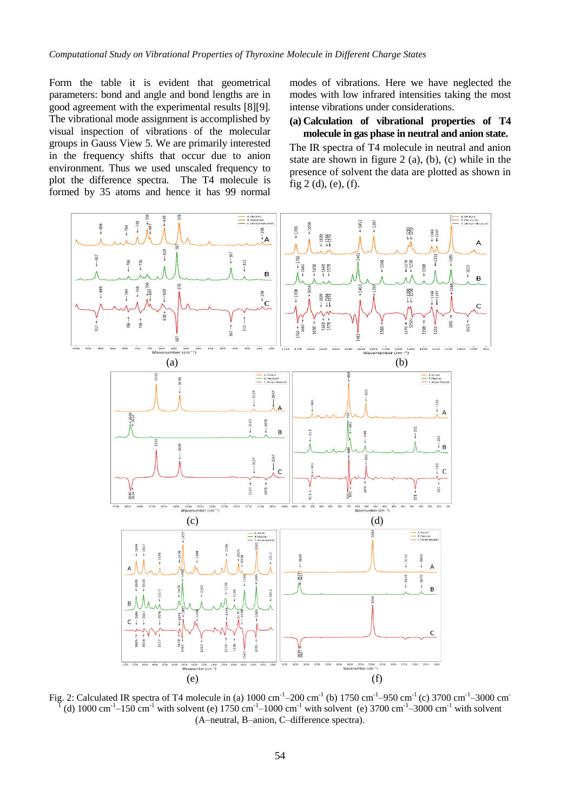Form the table it is evident that geometrical parameters: bond and angle and bond lengths are in good agreement with the experimental results [8][9]. The vibrational mode assignment is accomplished by visual inspection of vibrations of the molecular groups in Gauss View 5. We are primarily interested in the frequency shifts that occur due to anion environment. Thus we used unscaled frequency to plot the difference spectra. The T4 molecule is formed by 35 atoms and hence it has 99 normal modes of vibrations. Here we have neglected the modes with low infrared intensities taking the most intense vibrations under considerations.

**(a) Calculation of vibrational properties of T4 molecule in gas phase in neutral and anion state.** 

The IR spectra of T4 molecule in neutral and anion state are shown in figure 2 (a), (b), (c) while in the presence of solvent the data are plotted as shown in fig 2 (d), (e), (f).



Fig. 2: Calculated IR spectra of T4 molecule in (a)  $1000 \text{ cm}^{-1} - 200 \text{ cm}^{-1}$  (b)  $1750 \text{ cm}^{-1} - 950 \text{ cm}^{-1}$  (c)  $3700 \text{ cm}^{-1} - 3000 \text{ cm}^{-1}$ <br> $\frac{1}{2}(d)$   $1000 \text{ cm}^{-1}$   $150 \text{ cm}^{-1}$  with solvent (c)  $1750 \text{ cm}^{-1}$   $10$ (d) 1000 cm<sup>-1</sup> $-150$  cm<sup>-1</sup> with solvent (e) 1750 cm<sup>-1</sup> $-1000$  cm<sup>-1</sup> with solvent (e) 3700 cm<sup>-1</sup> $-3000$  cm<sup>-1</sup> with solvent (A–neutral, B–anion, C–difference spectra).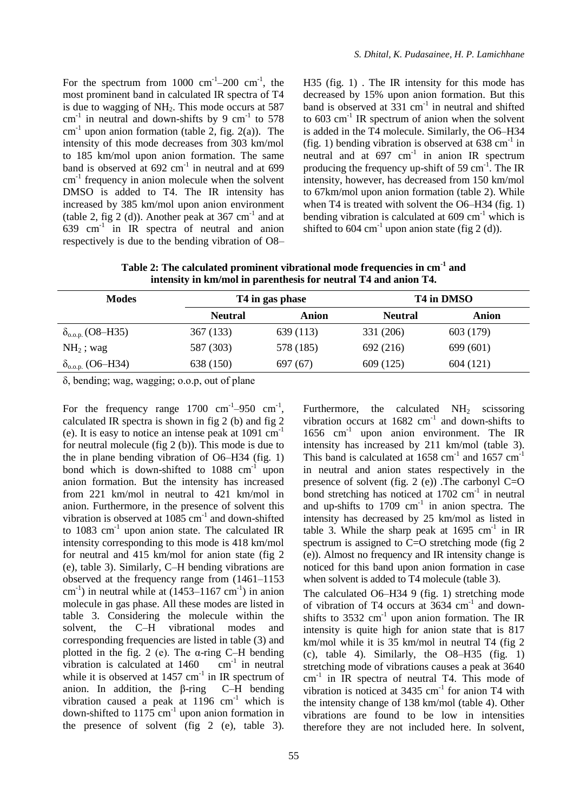For the spectrum from  $1000 \text{ cm}^{-1}$ -200 cm<sup>-1</sup>, the most prominent band in calculated IR spectra of T4 is due to wagging of  $NH<sub>2</sub>$ . This mode occurs at 587  $cm^{-1}$  in neutral and down-shifts by 9  $cm^{-1}$  to 578  $cm<sup>-1</sup>$  upon anion formation (table 2, fig. 2(a)). The intensity of this mode decreases from 303 km/mol to 185 km/mol upon anion formation. The same band is observed at  $692 \text{ cm}^{-1}$  in neutral and at  $699$ cm<sup>-1</sup> frequency in anion molecule when the solvent DMSO is added to T4. The IR intensity has increased by 385 km/mol upon anion environment (table 2, fig 2 (d)). Another peak at  $367 \text{ cm}^{-1}$  and at  $639$  cm<sup>-1</sup> in IR spectra of neutral and anion respectively is due to the bending vibration of O8–

H35 (fig. 1) . The IR intensity for this mode has decreased by 15% upon anion formation. But this band is observed at  $331 \text{ cm}^{-1}$  in neutral and shifted to  $603 \text{ cm}^{-1}$  IR spectrum of anion when the solvent is added in the T4 molecule. Similarly, the O6–H34 (fig. 1) bending vibration is observed at  $638 \text{ cm}^{-1}$  in neutral and at  $697 \text{ cm}^{-1}$  in anion IR spectrum producing the frequency up-shift of 59  $cm^{-1}$ . The IR intensity, however, has decreased from 150 km/mol to 67km/mol upon anion formation (table 2). While when T4 is treated with solvent the O6–H34 (fig. 1) bending vibration is calculated at  $609 \text{ cm}^{-1}$  which is shifted to 604  $cm^{-1}$  upon anion state (fig 2 (d)).

**Table 2: The calculated prominent vibrational mode frequencies in cm-1 and intensity in km/mol in parenthesis for neutral T4 and anion T4.**

| <b>Modes</b>                      |                | T <sub>4</sub> in gas phase |                | T4 in DMSO |  |  |
|-----------------------------------|----------------|-----------------------------|----------------|------------|--|--|
|                                   | <b>Neutral</b> | Anion                       | <b>Neutral</b> | Anion      |  |  |
| $\delta_{\text{o.o.p.}}$ (O8–H35) | 367 (133)      | 639 (113)                   | 331 (206)      | 603 (179)  |  |  |
| $NH2$ ; wag                       | 587 (303)      | 578 (185)                   | 692 (216)      | 699 (601)  |  |  |
| $\delta_{_{0.0. p.}}$ (O6–H34)    | 638 (150)      | 697 (67)                    | 609 (125)      | 604 (121)  |  |  |

δ, bending; wag, wagging; o.o.p, out of plane

For the frequency range  $1700 \text{ cm}^{-1}$ -950 cm<sup>-1</sup>, calculated IR spectra is shown in fig 2 (b) and fig 2 (e). It is easy to notice an intense peak at  $1091 \text{ cm}^{-1}$ for neutral molecule (fig 2 (b)). This mode is due to the in plane bending vibration of O6–H34 (fig. 1) bond which is down-shifted to  $1088 \text{ cm}^{-1}$  upon anion formation. But the intensity has increased from 221 km/mol in neutral to 421 km/mol in anion. Furthermore, in the presence of solvent this vibration is observed at  $1085 \text{ cm}^{-1}$  and down-shifted to 1083  $cm^{-1}$  upon anion state. The calculated IR intensity corresponding to this mode is 418 km/mol for neutral and 415 km/mol for anion state (fig 2 (e), table 3). Similarly, C–H bending vibrations are observed at the frequency range from (1461–1153  $\text{cm}^{-1}$ ) in neutral while at (1453–1167  $\text{cm}^{-1}$ ) in anion molecule in gas phase. All these modes are listed in table 3. Considering the molecule within the solvent, the C–H vibrational modes and corresponding frequencies are listed in table (3) and plotted in the fig. 2 (e). The  $\alpha$ -ring C–H bending vibration is calculated at  $1460$  cm<sup>-1</sup> in neutral while it is observed at  $1457 \text{ cm}^{-1}$  in IR spectrum of anion. In addition, the β-ring C–H bending vibration caused a peak at  $1196 \text{ cm}^{-1}$  which is down-shifted to  $1175 \text{ cm}^{-1}$  upon anion formation in the presence of solvent (fig 2 (e), table 3).

Furthermore, the calculated  $NH<sub>2</sub>$  scissoring vibration occurs at  $1682 \text{ cm}^{-1}$  and down-shifts to 1656 cm-1 upon anion environment. The IR intensity has increased by 211 km/mol (table 3). This band is calculated at  $1658 \text{ cm}^{-1}$  and  $1657 \text{ cm}^{-1}$ in neutral and anion states respectively in the presence of solvent (fig.  $2$  (e)). The carbonyl C=O bond stretching has noticed at  $1702 \text{ cm}^{-1}$  in neutral and up-shifts to  $1709 \text{ cm}^{-1}$  in anion spectra. The intensity has decreased by 25 km/mol as listed in table 3. While the sharp peak at  $1695 \text{ cm}^{-1}$  in IR spectrum is assigned to C=O stretching mode (fig 2) (e)). Almost no frequency and IR intensity change is noticed for this band upon anion formation in case when solvent is added to T4 molecule (table 3).

The calculated O6–H34 9 (fig. 1) stretching mode of vibration of T4 occurs at 3634 cm<sup>-1</sup> and downshifts to  $3532 \text{ cm}^{-1}$  upon anion formation. The IR intensity is quite high for anion state that is 817 km/mol while it is 35 km/mol in neutral T4 (fig 2 (c), table 4). Similarly, the  $O8-H35$  (fig. 1) stretching mode of vibrations causes a peak at 3640 cm-1 in IR spectra of neutral T4. This mode of vibration is noticed at  $3435 \text{ cm}^{-1}$  for anion T4 with the intensity change of 138 km/mol (table 4). Other vibrations are found to be low in intensities therefore they are not included here. In solvent,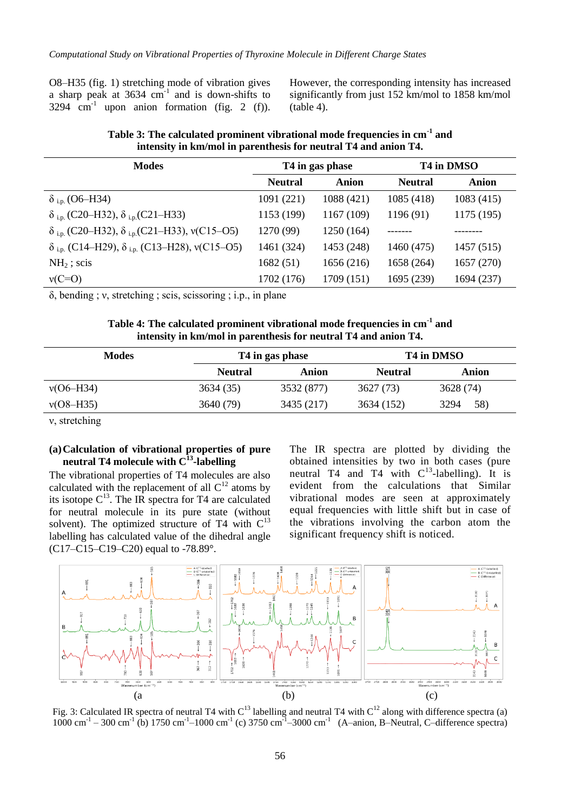O8–H35 (fig. 1) stretching mode of vibration gives a sharp peak at  $3634 \text{ cm}^{-1}$  and is down-shifts to 3294  $cm<sup>-1</sup>$  upon anion formation (fig. 2 (f)). However, the corresponding intensity has increased significantly from just 152 km/mol to 1858 km/mol (table 4).

| <b>Modes</b>                                                                      | T <sub>4</sub> in gas phase |            | T4 in DMSO     |            |
|-----------------------------------------------------------------------------------|-----------------------------|------------|----------------|------------|
|                                                                                   | <b>Neutral</b>              | Anion      | <b>Neutral</b> | Anion      |
| $\delta$ <sub>i.p.</sub> (O6–H34)                                                 | 1091 (221)                  | 1088 (421) | 1085 (418)     | 1083(415)  |
| $\delta$ <sub>i.p.</sub> (C20–H32), $\delta$ <sub>i.p.</sub> (C21–H33)            | 1153 (199)                  | 1167 (109) | 1196(91)       | 1175 (195) |
| $\delta$ <sub>i.p.</sub> (C20–H32), $\delta$ <sub>i.p.</sub> (C21–H33), v(C15–O5) | 1270 (99)                   | 1250 (164) |                |            |
| $\delta$ <sub>i.p.</sub> (C14–H29), $\delta$ <sub>i.p.</sub> (C13–H28), v(C15–O5) | 1461 (324)                  | 1453 (248) | 1460 (475)     | 1457 (515) |
| $NH2$ ; scis                                                                      | 1682(51)                    | 1656(216)  | 1658 (264)     | 1657(270)  |
| $v(C=O)$                                                                          | 1702 (176)                  | 1709 (151) | 1695 (239)     | 1694(237)  |

**Table 3: The calculated prominent vibrational mode frequencies in cm-1 and intensity in km/mol in parenthesis for neutral T4 and anion T4.**

δ, bending ; ν, stretching ; scis, scissoring ; i.p., in plane

| Table 4: The calculated prominent vibrational mode frequencies in cm <sup>-1</sup> and |  |
|----------------------------------------------------------------------------------------|--|
| intensity in km/mol in parenthesis for neutral T4 and anion T4.                        |  |

| <b>Modes</b> |                | T4 in gas phase |                | T4 in DMSO  |  |  |
|--------------|----------------|-----------------|----------------|-------------|--|--|
|              | <b>Neutral</b> | Anion           | <b>Neutral</b> | Anion       |  |  |
| v(06–H34)    | 3634 (35)      | 3532 (877)      | 3627(73)       | 3628 (74)   |  |  |
| v(08–H35)    | 3640 (79)      | 3435 (217)      | 3634 (152)     | 3294<br>58) |  |  |
|              |                |                 |                |             |  |  |

ν, stretching

#### **(a)Calculation of vibrational properties of pure neutral T4 molecule with C<sup>13</sup> -labelling**

The vibrational properties of T4 molecules are also calculated with the replacement of all  $C<sup>12</sup>$  atoms by its isotope  $C^{13}$ . The IR spectra for T4 are calculated for neutral molecule in its pure state (without solvent). The optimized structure of  $T4$  with  $C^{13}$ labelling has calculated value of the dihedral angle  $(C17-C15-C19-C20)$  equal to -78.89°.

The IR spectra are plotted by dividing the obtained intensities by two in both cases (pure neutral T4 and T4 with  $C^{13}$ -labelling). It is evident from the calculations that Similar vibrational modes are seen at approximately equal frequencies with little shift but in case of the vibrations involving the carbon atom the significant frequency shift is noticed.



Fig. 3: Calculated IR spectra of neutral T4 with  $C^{13}$  labelling and neutral T4 with  $C^{12}$  along with difference spectra (a)  $1000 \text{ cm}^{-1}$  – 300 cm<sup>-1</sup> (b) 1750 cm<sup>-1</sup> – 1000 cm<sup>-1</sup> (c) 3750 cm<sup>-1</sup> – 3000 cm<sup>-1</sup> (A-anion, B-Neutral, C-difference spectra)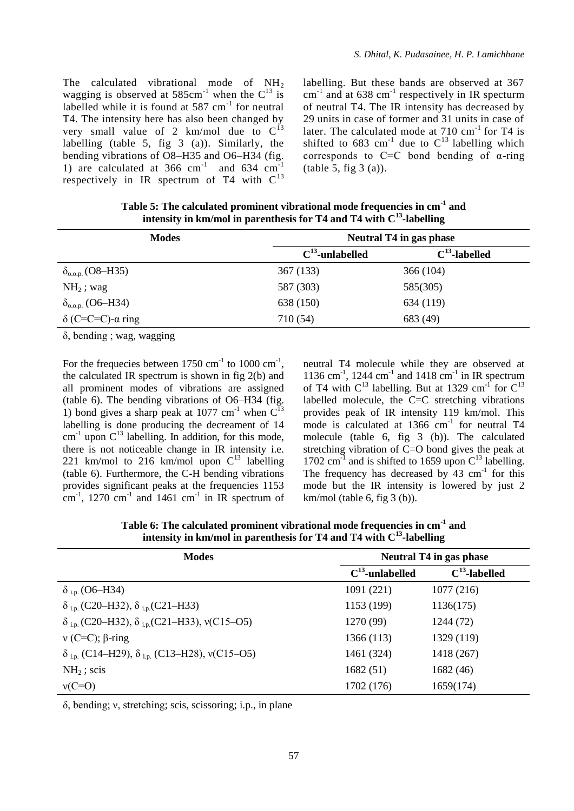The calculated vibrational mode of  $NH<sub>2</sub>$ wagging is observed at  $585 \text{cm}^{-1}$  when the  $\text{C}^{13}$  is labelled while it is found at  $587 \text{ cm}^{-1}$  for neutral T4. The intensity here has also been changed by very small value of 2 km/mol due to  $C^{13}$ labelling (table 5, fig 3 (a)). Similarly, the bending vibrations of O8–H35 and O6–H34 (fig. 1) are calculated at  $366 \text{ cm}^{-1}$  and  $634 \text{ cm}^{-1}$ respectively in IR spectrum of T4 with  $C^{13}$ 

labelling. But these bands are observed at 367  $cm^{-1}$  and at 638  $cm^{-1}$  respectively in IR specturm of neutral T4. The IR intensity has decreased by 29 units in case of former and 31 units in case of later. The calculated mode at  $710 \text{ cm}^{-1}$  for T4 is shifted to 683 cm<sup>-1</sup> due to  $C^{13}$  labelling which corresponds to  $C=C$  bond bending of  $\alpha$ -ring  $(table 5, fig 3 (a)).$ 

| intensity in km/mol in parenthesis for T4 and T4 with $C^3$ -labelling |                      |                         |  |  |  |
|------------------------------------------------------------------------|----------------------|-------------------------|--|--|--|
| <b>Modes</b>                                                           |                      | Neutral T4 in gas phase |  |  |  |
|                                                                        | $C^{13}$ -unlabelled | $C^{13}$ -labelled      |  |  |  |
| $\delta_{\rm o.o.p.}$ (O8–H35)                                         | 367(133)             | 366 (104)               |  |  |  |
| $NH2$ ; wag                                                            | 587 (303)            | 585(305)                |  |  |  |

 $\delta_{0.0,\text{p}}$  (O6–H34) 638 (150) 634 (119)  $δ$  (C=C=C)-α ring 710 (54) 683 (49)

**Table 5: The calculated prominent vibrational mode frequencies in cm-1 and intensity in km/mol in parenthesis for T4 and T4 with C<sup>13</sup>**

δ, bending ; wag, wagging

For the frequecies between  $1750 \text{ cm}^{-1}$  to  $1000 \text{ cm}^{-1}$ , the calculated IR spectrum is shown in fig 2(b) and all prominent modes of vibrations are assigned (table 6). The bending vibrations of O6–H34 (fig. 1) bond gives a sharp peak at 1077 cm<sup>-1</sup> when  $C<sup>1</sup>$ labelling is done producing the decreament of 14  $\text{cm}^{-1}$  upon  $\text{C}^{13}$  labelling. In addition, for this mode, there is not noticeable change in IR intensity i.e. 221 km/mol to 216 km/mol upon  $C^{13}$  labelling (table 6). Furthermore, the C-H bending vibrations provides significant peaks at the frequencies 1153  $\text{cm}^{-1}$ , 1270  $\text{cm}^{-1}$  and 1461  $\text{cm}^{-1}$  in IR spectrum of neutral T4 molecule while they are observed at 1136 cm<sup>-1</sup>, 1244 cm<sup>-1</sup> and 1418 cm<sup>-1</sup> in IR spectrum of T4 with  $C^{13}$  labelling. But at 1329 cm<sup>-1</sup> for  $C^{13}$ labelled molecule, the C=C stretching vibrations provides peak of IR intensity 119 km/mol. This mode is calculated at 1366 cm<sup>-1</sup> for neutral T4 molecule (table 6, fig 3 (b)). The calculated stretching vibration of C=O bond gives the peak at 1702  $\text{cm}^{-1}$  and is shifted to 1659 upon  $\text{C}^{13}$  labelling. The frequency has decreased by  $43 \text{ cm}^{-1}$  for this mode but the IR intensity is lowered by just 2  $km/mol$  (table 6, fig 3 (b)).

**Table 6: The calculated prominent vibrational mode frequencies in cm-1 and intensity in km/mol in parenthesis for T4 and T4 with C<sup>13</sup> -labelling**

| <b>Modes</b>                                                                      | <b>Neutral T4 in gas phase</b> |                    |  |  |
|-----------------------------------------------------------------------------------|--------------------------------|--------------------|--|--|
|                                                                                   | $C^{13}$ -unlabelled           | $C^{13}$ -labelled |  |  |
| $\delta$ <sub>i.p.</sub> (O6–H34)                                                 | 1091 (221)                     | 1077(216)          |  |  |
| $\delta$ <sub>i.p.</sub> (C20–H32), $\delta$ <sub>i.p.</sub> (C21–H33)            | 1153 (199)                     | 1136(175)          |  |  |
| $\delta$ <sub>i.p.</sub> (C20–H32), $\delta$ <sub>i.p.</sub> (C21–H33), v(C15–O5) | 1270 (99)                      | 1244 (72)          |  |  |
| $v$ (C=C); $\beta$ -ring                                                          | 1366 (113)                     | 1329 (119)         |  |  |
| $\delta$ <sub>i.p.</sub> (C14–H29), $\delta$ <sub>i.p.</sub> (C13–H28), v(C15–O5) | 1461 (324)                     | 1418 (267)         |  |  |
| $NH2$ ; scis                                                                      | 1682(51)                       | 1682(46)           |  |  |
| $v(C=O)$                                                                          | 1702 (176)                     | 1659(174)          |  |  |

δ, bending; ν, stretching; scis, scissoring; i.p., in plane